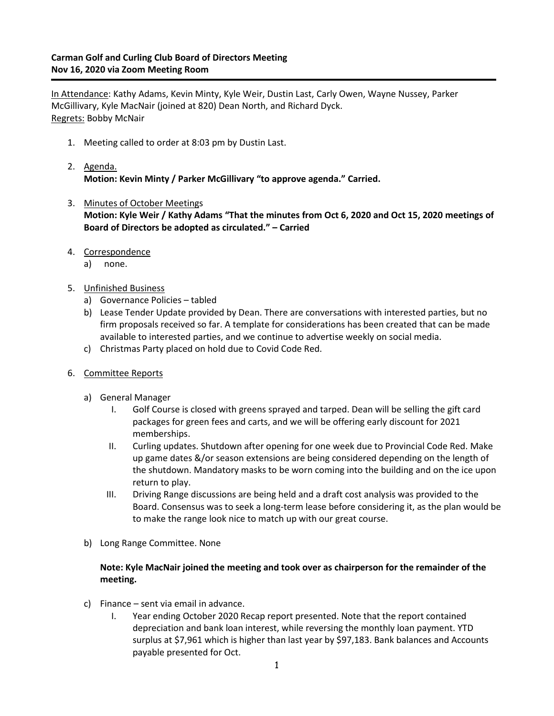# **Carman Golf and Curling Club Board of Directors Meeting Nov 16, 2020 via Zoom Meeting Room**

In Attendance: Kathy Adams, Kevin Minty, Kyle Weir, Dustin Last, Carly Owen, Wayne Nussey, Parker McGillivary, Kyle MacNair (joined at 820) Dean North, and Richard Dyck. Regrets: Bobby McNair

- 1. Meeting called to order at 8:03 pm by Dustin Last.
- 2. Agenda. **Motion: Kevin Minty / Parker McGillivary "to approve agenda." Carried.**
- 3. Minutes of October Meetings **Motion: Kyle Weir / Kathy Adams "That the minutes from Oct 6, 2020 and Oct 15, 2020 meetings of Board of Directors be adopted as circulated." – Carried**
- 4. Correspondence
	- a) none.
- 5. Unfinished Business
	- a) Governance Policies tabled
	- b) Lease Tender Update provided by Dean. There are conversations with interested parties, but no firm proposals received so far. A template for considerations has been created that can be made available to interested parties, and we continue to advertise weekly on social media.
	- c) Christmas Party placed on hold due to Covid Code Red.
- 6. Committee Reports
	- a) General Manager
		- I. Golf Course is closed with greens sprayed and tarped. Dean will be selling the gift card packages for green fees and carts, and we will be offering early discount for 2021 memberships.
		- II. Curling updates. Shutdown after opening for one week due to Provincial Code Red. Make up game dates &/or season extensions are being considered depending on the length of the shutdown. Mandatory masks to be worn coming into the building and on the ice upon return to play.
		- III. Driving Range discussions are being held and a draft cost analysis was provided to the Board. Consensus was to seek a long-term lease before considering it, as the plan would be to make the range look nice to match up with our great course.
	- b) Long Range Committee. None

## **Note: Kyle MacNair joined the meeting and took over as chairperson for the remainder of the meeting.**

- c) Finance sent via email in advance.
	- I. Year ending October 2020 Recap report presented. Note that the report contained depreciation and bank loan interest, while reversing the monthly loan payment. YTD surplus at \$7,961 which is higher than last year by \$97,183. Bank balances and Accounts payable presented for Oct.